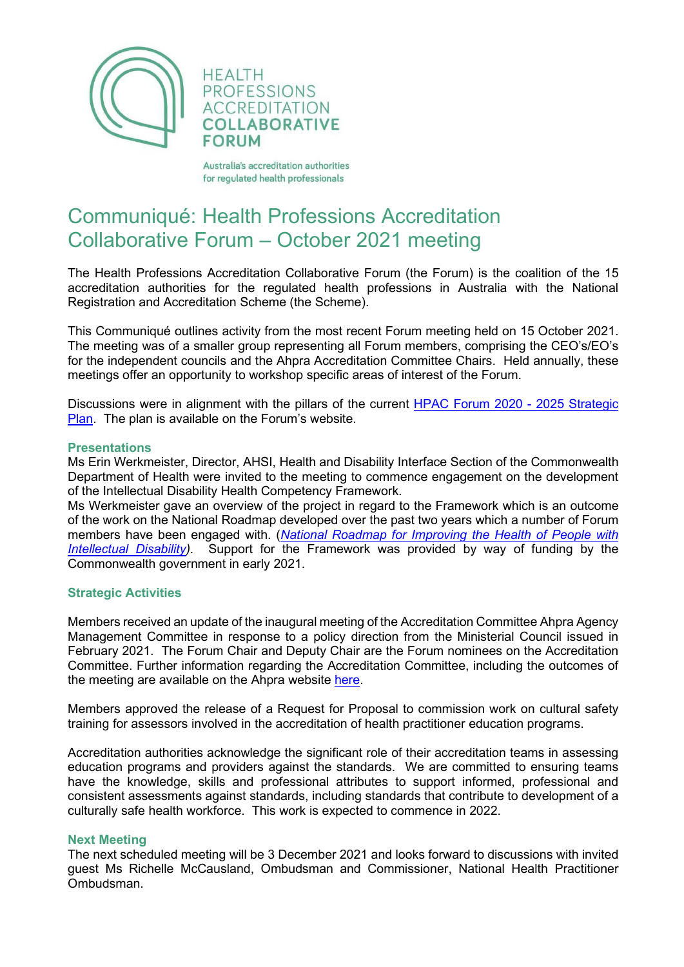

**HEALTH PROFESSIONS ACCREDITATION COLLABORATIVE FORUM** 

Australia's accreditation authorities for regulated health professionals

## Communiqué: Health Professions Accreditation Collaborative Forum – October 2021 meeting

The Health Professions Accreditation Collaborative Forum (the Forum) is the coalition of the 15 accreditation authorities for the regulated health professions in Australia with the National Registration and Accreditation Scheme (the Scheme).

This Communiqué outlines activity from the most recent Forum meeting held on 15 October 2021. The meeting was of a smaller group representing all Forum members, comprising the CEO's/EO's for the independent councils and the Ahpra Accreditation Committee Chairs. Held annually, these meetings offer an opportunity to workshop specific areas of interest of the Forum.

Discussions were in alignment with the pillars of the current [HPAC Forum 2020 -](http://hpacf.org.au/about/) 2025 Strategic [Plan.](http://hpacf.org.au/about/) The plan is available on the Forum's website.

## **Presentations**

Ms Erin Werkmeister, Director, AHSI, Health and Disability Interface Section of the Commonwealth Department of Health were invited to the meeting to commence engagement on the development of the Intellectual Disability Health Competency Framework.

Ms Werkmeister gave an overview of the project in regard to the Framework which is an outcome of the work on the National Roadmap developed over the past two years which a number of Forum members have been engaged with. (*National Roadmap for Improving the Health of People with*<br>Intellectual Disability). Support for the Framework was provided by way of funding by the *Intellactual Support* for the Framework was provided by way of funding by the Commonwealth government in early 2021.

## **Strategic Activities**

Members received an update of the inaugural meeting of the Accreditation Committee Ahpra Agency Management Committee in response to a policy direction from the Ministerial Council issued in February 2021. The Forum Chair and Deputy Chair are the Forum nominees on the Accreditation Committee. Further information regarding the Accreditation Committee, including the outcomes of the meeting are available on the Ahpra website [here.](https://www.ahpra.gov.au/About-Ahpra/Who-We-Are/Agency-Management-Committee/Accreditation-Advisory-Committee.aspx)

Members approved the release of a Request for Proposal to commission work on cultural safety training for assessors involved in the accreditation of health practitioner education programs.

Accreditation authorities acknowledge the significant role of their accreditation teams in assessing education programs and providers against the standards. We are committed to ensuring teams have the knowledge, skills and professional attributes to support informed, professional and consistent assessments against standards, including standards that contribute to development of a culturally safe health workforce. This work is expected to commence in 2022.

## **Next Meeting**

The next scheduled meeting will be 3 December 2021 and looks forward to discussions with invited guest Ms Richelle McCausland, Ombudsman and Commissioner, National Health Practitioner Ombudsman.